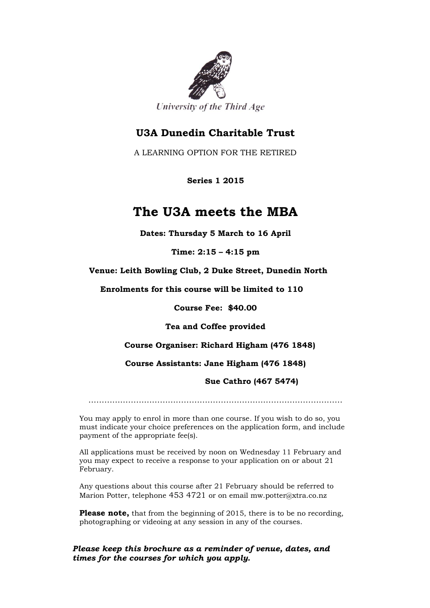

## **U3A Dunedin Charitable Trust**

A LEARNING OPTION FOR THE RETIRED

 **Series 1 2015**

## **The U3A meets the MBA**

**Dates: Thursday 5 March to 16 April**

**Time: 2:15 – 4:15 pm**

 **Venue: Leith Bowling Club, 2 Duke Street, Dunedin North**

 **Enrolments for this course will be limited to 110**

**Course Fee: \$40.00**

**Tea and Coffee provided**

**Course Organiser: Richard Higham (476 1848)**

**Course Assistants: Jane Higham (476 1848)**

**Sue Cathro (467 5474)**

……………………………………………………………………………………

You may apply to enrol in more than one course. If you wish to do so, you must indicate your choice preferences on the application form, and include payment of the appropriate fee(s).

All applications must be received by noon on Wednesday 11 February and you may expect to receive a response to your application on or about 21 February.

Any questions about this course after 21 February should be referred to Marion Potter, telephone 453 4721 or on email mw.potter@xtra.co.nz

**Please note,** that from the beginning of 2015, there is to be no recording, photographing or videoing at any session in any of the courses.

*Please keep this brochure as a reminder of venue, dates, and times for the courses for which you apply.*